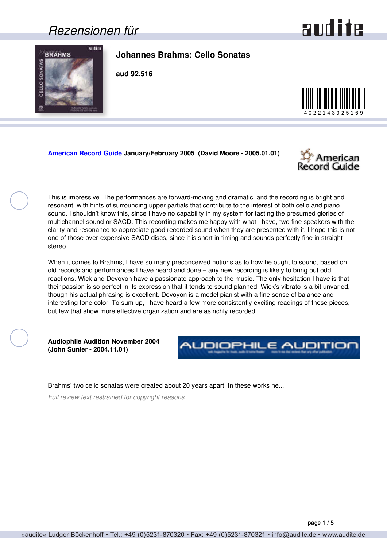### <span id="page-0-0"></span>*Rezensionen für*

## and ite



**Johannes Brahms: Cello Sonatas**

**aud 92.516**



#### **[American Record Guide](http://www.americanrecordguide.com) January/February 2005 (David Moore - 2005.01.01)**



This is impressive. The performances are forward-moving and dramatic, and the recording is bright and resonant, with hints of surrounding upper partials that contribute to the interest of both cello and piano sound. I shouldn't know this, since I have no capability in my system for tasting the presumed glories of multichannel sound or SACD. This recording makes me happy with what I have, two fine speakers with the clarity and resonance to appreciate good recorded sound when they are presented with it. I hope this is not one of those over-expensive SACD discs, since it is short in timing and sounds perfectly fine in straight stereo.

When it comes to Brahms, I have so many preconceived notions as to how he ought to sound, based on old records and performances I have heard and done – any new recording is likely to bring out odd reactions. Wick and Devoyon have a passionate approach to the music. The only hesitation I have is that their passion is so perfect in its expression that it tends to sound planned. Wick's vibrato is a bit unvaried, though his actual phrasing is excellent. Devoyon is a model pianist with a fine sense of balance and interesting tone color. To sum up, I have heard a few more consistently exciting readings of these pieces, but few that show more effective organization and are as richly recorded.

**Audiophile Audition November 2004 (John Sunier - 2004.11.01)**



Brahms' two cello sonatas were created about 20 years apart. In these works he...

*Full review text restrained for copyright reasons.*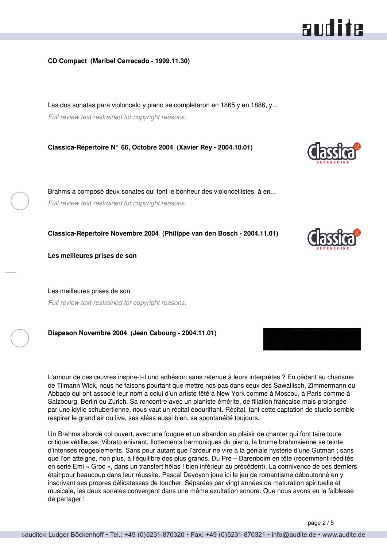#### <span id="page-1-0"></span>**CD Compact (Maribel Carracedo - 1999.11.30)**

Las dos sonatas para violoncelo y piano se completaron en 1865 y en 1886, y... *Full review text restrained for copyright reasons.*

**Classica-Répertoire N° 66, Octobre 2004 (Xavier Rey - 2004.10.01)**

Brahms a composé deux sonates qui font le bonheur des violoncellistes, à en... *Full review text restrained for copyright reasons.*

**Classica-Répertoire Novembre 2004 (Philippe van den Bosch - 2004.11.01)**

**Les meilleures prises de son**

Les meilleures prises de son *Full review text restrained for copyright reasons.*

**Diapason Novembre 2004 (Jean Cabourg - 2004.11.01)**

L'amour de ces œuvres inspire-t-il und adhésion sans retenue à leurs interprètes ? En cédant au charisme de Tilmann Wick, nous ne faisons pourtant que mettre nos pas dans ceux des Sawallisch, Zimmermann ou Abbado qui ont associé leur nom a celui d'un artiste fêté à New York comme à Moscou, à Paris comme à Salzbourg, Berlin ou Zurich. Sa rencontre avec un pianiste émérite, de filiation française mais prolongée par une idylle schubertienne, nous vaut un récital ébouriffant. Récital, tant cette captation de studio semble respirer le grand air du live, ses aléas aussi bien, sa spontanéité toujours.

Un Brahms abordé col ouvert, avec une fougue et un abandon au plaisir de chanter qui font taire toute critique vétilleuse. Vibrato enivrant, flottements harmoniques du piano, la brume brahmsienne se teinte d'intenses rougeoiements. Sans pour autant que l'ardeur ne vire à la géniale hystérie d'une Gutman ; sans que l'on atteigne, non plus, à l'équilibre des plus grands, Du Pré – Barenboim en tête (récemment réédités en série Emi « Groc », dans un transfert hélas ! bien inférieur au précédent). La connivence de ces derniers était pour beaucoup dans leur réussite. Pascal Devoyon joue ici le jeu de romantisme déboutonné en y inscrivant ses propres délicatesses de toucher. Séparées par vingt années de maturation spirituelle et musicale, les deux sonates convergent dans une même exultation sonore. Que nous avons eu la faiblesse de partager !



and ite



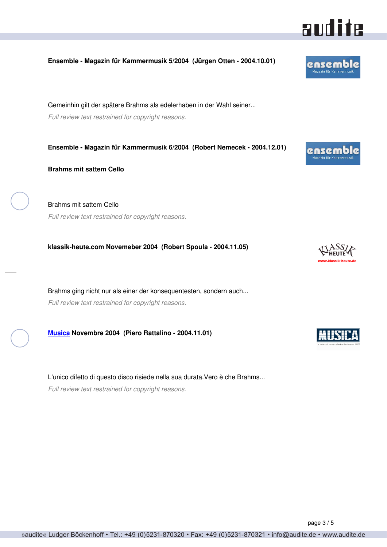#### <span id="page-2-0"></span>**Ensemble - Magazin für Kammermusik 5/2004 (Jürgen Otten - 2004.10.01)**

Gemeinhin gilt der spätere Brahms als edelerhaben in der Wahl seiner... *Full review text restrained for copyright reasons.*

**Ensemble - Magazin für Kammermusik 6/2004 (Robert Nemecek - 2004.12.01)**

**Brahms mit sattem Cello**

Brahms mit sattem Cello *Full review text restrained for copyright reasons.*

**klassik-heute.com Novemeber 2004 (Robert Spoula - 2004.11.05)**

Brahms ging nicht nur als einer der konsequentesten, sondern auch... *Full review text restrained for copyright reasons.*

**[Musica](http://www.rivistamusica.com) Novembre 2004 (Piero Rattalino - 2004.11.01)**

L'unico difetto di questo disco risiede nella sua durata.Vero è che Brahms... *Full review text restrained for copyright reasons.*



ensemb Manazin für Ka







ensemble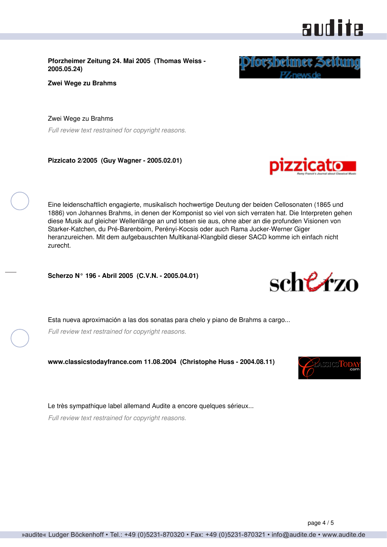<span id="page-3-0"></span>**Pforzheimer Zeitung 24. Mai 2005 (Thomas Weiss - 2005.05.24)**

**Zwei Wege zu Brahms**

Zwei Wege zu Brahms *Full review text restrained for copyright reasons.*

**Pizzicato 2/2005 (Guy Wagner - 2005.02.01)**

Eine leidenschaftlich engagierte, musikalisch hochwertige Deutung der beiden Cellosonaten (1865 und 1886) von Johannes Brahms, in denen der Komponist so viel von sich verraten hat. Die Interpreten gehen diese Musik auf gleicher Wellenlänge an und lotsen sie aus, ohne aber an die profunden Visionen von Starker-Katchen, du Pré-Barenboim, Perényi-Kocsis oder auch Rama Jucker-Werner Giger heranzureichen. Mit dem aufgebauschten Multikanal-Klangbild dieser SACD komme ich einfach nicht zurecht.

**Scherzo N° 196 - Abril 2005 (C.V.N. - 2005.04.01)**

Esta nueva aproximación a las dos sonatas para chelo y piano de Brahms a cargo...

*Full review text restrained for copyright reasons.*

**www.classicstodayfrance.com 11.08.2004 (Christophe Huss - 2004.08.11)**

Le très sympathique label allemand Audite a encore quelques sérieux...

*Full review text restrained for copyright reasons.*

# audite